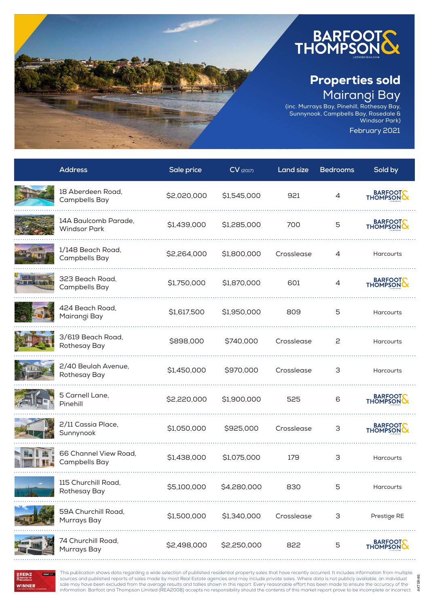

(inc. Murrays Bay, Pinehill, Rothesay Bay, Sunnynook, Campbells Bay, Rosedale & Windsor Park)

February 2021

AKTSR46

AKTSR46

| <b>Address</b>                              | Sale price  | $CV$ <sub>(2017)</sub> | Land size  | <b>Bedrooms</b> | Sold by             |
|---------------------------------------------|-------------|------------------------|------------|-----------------|---------------------|
| 18 Aberdeen Road,<br>Campbells Bay          | \$2,020,000 | \$1,545,000            | 921        | 4               | BARFOOT             |
| 14A Baulcomb Parade,<br><b>Windsor Park</b> | \$1,439,000 | \$1,285,000            | 700        | 5               | BARFOOT             |
| 1/148 Beach Road,<br>Campbells Bay          | \$2,264,000 | \$1,800,000            | Crosslease | 4               | <b>Harcourts</b>    |
| 323 Beach Road,<br>Campbells Bay            | \$1,750,000 | \$1,870,000            | 601        | 4               | BARFOOT             |
| 424 Beach Road,<br>Mairangi Bay             | \$1,617,500 | \$1,950,000            | 809        | 5               | <b>Harcourts</b>    |
| 3/619 Beach Road,<br>Rothesay Bay           | \$898,000   | \$740,000              | Crosslease | 2               | <b>Harcourts</b>    |
| 2/40 Beulah Avenue,<br>Rothesay Bay         | \$1,450,000 | \$970,000              | Crosslease | З               | Harcourts           |
| 5 Carnell Lane,<br>Pinehill                 | \$2,220,000 | \$1,900,000            | 525        | 6               | BARFOOT             |
| 2/11 Cassia Place,<br>Sunnynook             | \$1,050,000 | \$925,000              | Crosslease | З               | BARFOOT             |
| 66 Channel View Road,<br>Campbells Bay      | \$1,438,000 | \$1,075,000            | 179        | 3               | <b>Harcourts</b>    |
| 115 Churchill Road<br>Rothesay Bay          | \$5,100,000 | \$4,280,000            | 830        | 5               | Harcourts           |
| 59A Churchill Road,<br>Murrays Bay          | \$1,500,000 | \$1,340,000            | Crosslease | 3               | Prestige RE         |
| 74 Churchill Road,<br>Murrays Bay           | \$2,498,000 | \$2,250,000            | 822        | 5               | BARFOOT<br>THOMPSON |



This publication shows data regarding a wide selection of published residential property sales that have recently occurred. It includes information from multiple sources and published reports of sales made by most Real Estate agencies and may include private sales. Where data is not publicly available, an individual sale may have been excluded from the average results and tallies shown in this report. Every reasonable effort has been made to ensure the accuracy of the information. Barfoot and Thompson Limited (REA2008) accepts no responsibility should the contents of this market report prove to be incomplete or incorrect.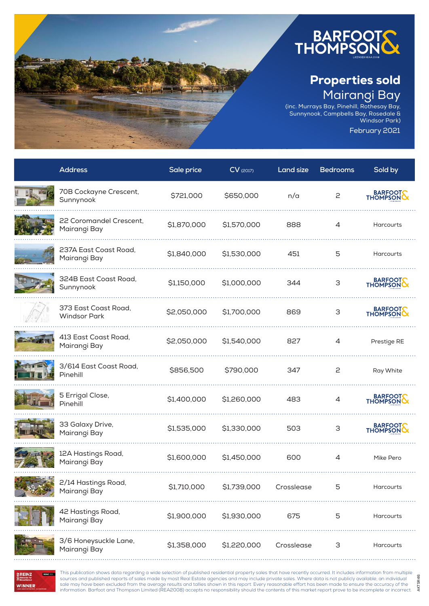

(inc. Murrays Bay, Pinehill, Rothesay Bay, Sunnynook, Campbells Bay, Rosedale & Windsor Park)

February 2021

AKTSR46

AKTSR46

| <b>Address</b>                              | Sale price  | $CV$ (2017) | Land size  | <b>Bedrooms</b> | Sold by     |
|---------------------------------------------|-------------|-------------|------------|-----------------|-------------|
| 70B Cockayne Crescent,<br>Sunnynook         | \$721,000   | \$650,000   | n/a        | 2               | BARFOOT     |
| 22 Coromandel Crescent,<br>Mairangi Bay     | \$1,870,000 | \$1,570,000 | 888        | 4               | Harcourts   |
| 237A East Coast Road,<br>Mairangi Bay       | \$1,840,000 | \$1,530,000 | 451        | 5               | Harcourts   |
| 324B East Coast Road,<br>Sunnynook          | \$1,150,000 | \$1,000,000 | 344        | 3               | BARFOOT     |
| 373 East Coast Road,<br><b>Windsor Park</b> | \$2,050,000 | \$1,700,000 | 869        | 3               | BARFOOT     |
| 413 East Coast Road,<br>Mairangi Bay        | \$2,050,000 | \$1,540,000 | 827        | 4               | Prestige RE |
| 3/614 East Coast Road,<br>Pinehill          | \$856,500   | \$790,000   | 347        | 2               | Ray White   |
| 5 Errigal Close,<br>Pinehill                | \$1,400,000 | \$1,260,000 | 483        | 4               | BARFOOTS    |
| 33 Galaxy Drive,<br>Mairangi Bay            | \$1,535,000 | \$1,330,000 | 503        | 3               | BARFOOT     |
| 12A Hastings Road,<br>Mairangi Bay          | \$1,600,000 | \$1,450,000 | 600        | 4               | Mike Pero   |
| 2/14 Hastings Road,<br>Mairangi Bay         | \$1,710,000 | \$1,739,000 | Crosslease | 5               | Harcourts   |
| 42 Hastings Road,<br>Mairangi Bay           | \$1,900,000 | \$1,930,000 | 675        | 5               | Harcourts   |
| 3/6 Honeysuckle Lane,<br>Mairangi Bay       | \$1,358,000 | \$1,220,000 | Crosslease | 3               | Harcourts   |

**REAZ** USE REINZ **WINNER** 

This publication shows data regarding a wide selection of published residential property sales that have recently occurred. It includes information from multiple sources and published reports of sales made by most Real Estate agencies and may include private sales. Where data is not publicly available, an individual sale may have been excluded from the average results and tallies shown in this report. Every reasonable effort has been made to ensure the accuracy of the information. Barfoot and Thompson Limited (REA2008) accepts no responsibility should the contents of this market report prove to be incomplete or incorrect.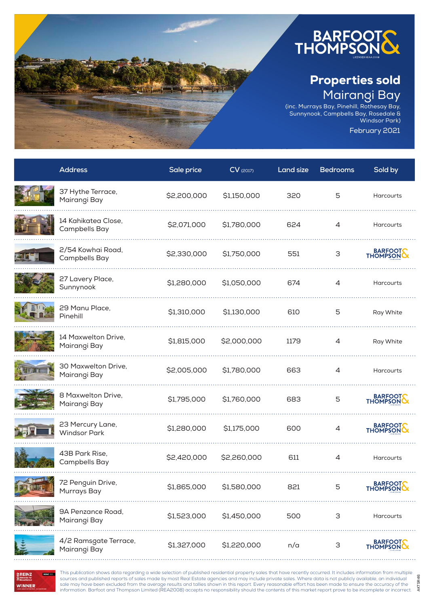

(inc. Murrays Bay, Pinehill, Rothesay Bay, Sunnynook, Campbells Bay, Rosedale & Windsor Park)

February 2021

AKTSR46

AKTSR46

| <b>Address</b>                          | Sale price  | $CV$ (2017) | <b>Land size</b> | <b>Bedrooms</b> | Sold by             |
|-----------------------------------------|-------------|-------------|------------------|-----------------|---------------------|
| 37 Hythe Terrace,<br>Mairangi Bay       | \$2,200,000 | \$1,150,000 | 320              | 5               | Harcourts           |
| 14 Kahikatea Close,<br>Campbells Bay    | \$2,071,000 | \$1,780,000 | 624              | $\overline{4}$  | <b>Harcourts</b>    |
| 2/54 Kowhai Road,<br>Campbells Bay      | \$2,330,000 | \$1,750,000 | 551              | 3               | BARFOOT             |
| 27 Lavery Place,<br>Sunnynook           | \$1,280,000 | \$1,050,000 | 674              | 4               | Harcourts           |
| 29 Manu Place,<br>Pinehill              | \$1,310,000 | \$1,130,000 | 610              | 5               | Ray White           |
| 14 Maxwelton Drive,<br>Mairangi Bay     | \$1,815,000 | \$2,000,000 | 1179             | 4               | Ray White           |
| 30 Maxwelton Drive,<br>Mairangi Bay     | \$2,005,000 | \$1,780,000 | 663              | 4               | Harcourts           |
| 8 Maxwelton Drive,<br>Mairangi Bay      | \$1,795,000 | \$1,760,000 | 683              | 5               | BARFOOT             |
| 23 Mercury Lane,<br><b>Windsor Park</b> | \$1,280,000 | \$1,175,000 | 600              | 4               | BARFOOT             |
| 43B Park Rise,<br><b>Campbells Bay</b>  | \$2,420,000 | \$2,260,000 | 611              | 4               | <b>Harcourts</b>    |
| 72 Penguin Drive,<br>Murrays Bay        | \$1,865,000 | \$1,580,000 | 821              | 5               | BARFOOT             |
| 9A Penzance Road,<br>Mairangi Bay       | \$1,523,000 | \$1,450,000 | 500              | 3               | Harcourts           |
| 4/2 Ramsgate Terrace,<br>Mairangi Bay   | \$1,327,000 | \$1,220,000 | n/a              | 3               | BARFOOT<br>THOMPSON |

**RENZ** SIG **REINZ WINNER** 

This publication shows data regarding a wide selection of published residential property sales that have recently occurred. It includes information from multiple sources and published reports of sales made by most Real Estate agencies and may include private sales. Where data is not publicly available, an individual sale may have been excluded from the average results and tallies shown in this report. Every reasonable effort has been made to ensure the accuracy of the information. Barfoot and Thompson Limited (REA2008) accepts no responsibility should the contents of this market report prove to be incomplete or incorrect.